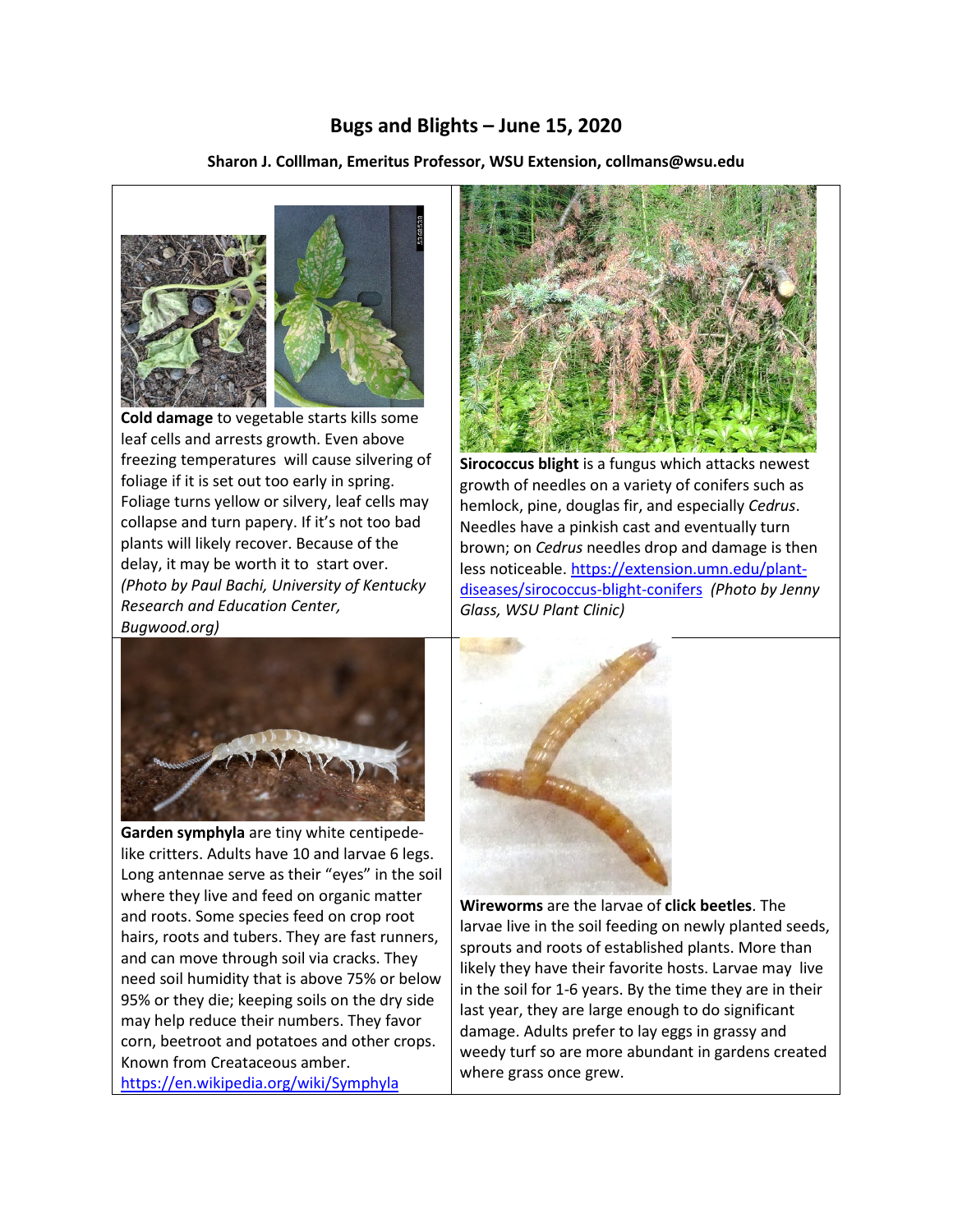## **Bugs and Blights – June 15, 2020**

**Sharon J. Colllman, Emeritus Professor, WSU Extension, collmans@wsu.edu**



 **Cold damage** to vegetable starts kills some leaf cells and arrests growth. Even above freezing temperatures will cause silvering of foliage if it is set out too early in spring. Foliage turns yellow or silvery, leaf cells may collapse and turn papery. If it's not too bad plants will likely recover. Because of the delay, it may be worth it to start over. *(Photo by Paul Bachi, University of Kentucky Research and Education Center, Bugwood.org)*



**Garden symphyla** are tiny white centipedelike critters. Adults have 10 and larvae 6 legs. Long antennae serve as their "eyes" in the soil where they live and feed on organic matter and roots. Some species feed on crop root hairs, roots and tubers. They are fast runners, and can move through soil via cracks. They need soil humidity that is above 75% or below 95% or they die; keeping soils on the dry side may help reduce their numbers. They favor corn, beetroot and potatoes and other crops. Known from Creataceous amber. <https://en.wikipedia.org/wiki/Symphyla>



**Sirococcus blight** is a fungus which attacks newest growth of needles on a variety of conifers such as hemlock, pine, douglas fir, and especially *Cedrus*. Needles have a pinkish cast and eventually turn brown; on *Cedrus* needles drop and damage is then less noticeable. [https://extension.umn.edu/plant](https://extension.umn.edu/plant-diseases/sirococcus-blight-conifers)[diseases/sirococcus-blight-conifers](https://extension.umn.edu/plant-diseases/sirococcus-blight-conifers) *(Photo by Jenny Glass, WSU Plant Clinic)*



**Wireworms** are the larvae of **click beetles**. The larvae live in the soil feeding on newly planted seeds, sprouts and roots of established plants. More than likely they have their favorite hosts. Larvae may live in the soil for 1-6 years. By the time they are in their last year, they are large enough to do significant damage. Adults prefer to lay eggs in grassy and weedy turf so are more abundant in gardens created where grass once grew.